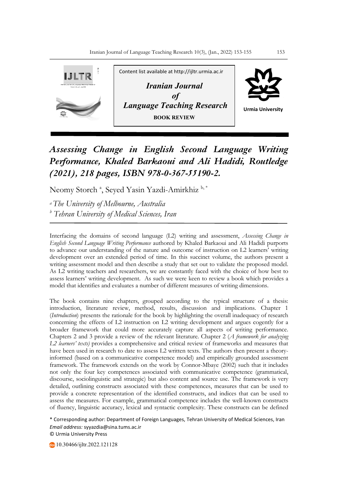

## *Assessing Change in English Second Language Writing Performance, Khaled Barkaoui and Ali Hadidi, Routledge (2021), 218 pages, ISBN 978-0-367-55190-2.*

Neomy Storch <sup>a</sup>, Seyed Yasin Yazdi-Amirkhiz b,\*

*a The University of Melbourne, Australia <sup>b</sup> Tehran University of Medical Sciences, Iran* 

Interfacing the domains of second language (L2) writing and assessment, *Assessing Change in English Second Language Writing Performance* authored by Khaled Barkaoui and Ali Hadidi purports to advance our understanding of the nature and outcome of instruction on L2 learners' writing development over an extended period of time. In this succinct volume, the authors present a writing assessment model and then describe a study that set out to validate the proposed model. As L2 writing teachers and researchers, we are constantly faced with the choice of how best to assess learners' writing development. As such we were keen to review a book which provides a model that identifies and evaluates a number of different measures of writing dimensions.

The book contains nine chapters, grouped according to the typical structure of a thesis: introduction, literature review, method, results, discussion and implications. Chapter 1 (*Introduction*) presents the rationale for the book by highlighting the overall inadequacy of research concerning the effects of L2 instruction on L2 writing development and argues cogently for a broader framework that could more accurately capture all aspects of writing performance. Chapters 2 and 3 provide a review of the relevant literature. Chapter 2 (*A framework for analyzing L2 learners' texts)* provides a comprehensive and critical review of frameworks and measures that have been used in research to date to assess L2 written texts. The authors then present a theoryinformed (based on a communicative competence model) and empirically grounded assessment framework. The framework extends on the work by Connor-Mbaye (2002) such that it includes not only the four key competences associated with communicative competence (grammatical, discourse, sociolinguistic and strategic) but also content and source use. The framework is very detailed, outlining constructs associated with these competences, measures that can be used to provide a concrete representation of the identified constructs, and indices that can be used to assess the measures. For example, grammatical competence includes the well-known constructs of fluency, linguistic accuracy, lexical and syntactic complexity. These constructs can be defined

\* Corresponding author: Department of Foreign Languages, Tehran University of Medical Sciences, Iran *Email address:* syyazdia@sina.tums.ac.ir © Urmia University Press

10.30466/ijltr.2022.121128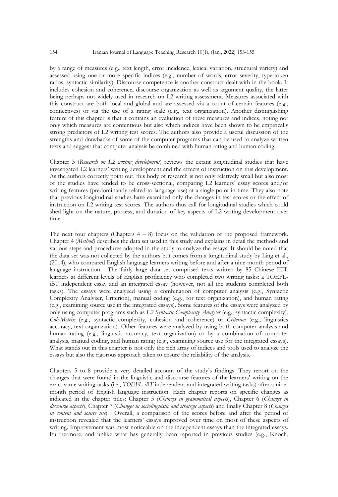by a range of measures (e.g., text length, error incidence, lexical variation, structural variety) and assessed using one or more specific indices (e.g., number of words, error severity, type-token ratios, syntactic similarity). Discourse competence is another construct dealt with in the book. It includes cohesion and coherence, discourse organization as well as argument quality, the latter being perhaps not widely used in research on L2 writing assessment. Measures associated with this construct are both local and global and are assessed via a count of certain features (e.g., connectives) or via the use of a rating scale (e.g., text organization). Another distinguishing feature of this chapter is that it contains an evaluation of these measures and indices, noting not only which measures are contentious but also which indices have been shown to be empirically strong predictors of L2 writing test scores. The authors also provide a useful discussion of the strengths and drawbacks of some of the computer programs that can be used to analyze written texts and suggest that computer analysis be combined with human rating and human coding.

Chapter 3 (*Research on L2 writing development*) reviews the extant longitudinal studies that have investigated L2 learners' writing development and the effects of instruction on this development. As the authors correctly point out, this body of research is not only relatively small but also most of the studies have tended to be cross-sectional, comparing L2 learners' essay scores and/or writing features (predominantly related to language use) at a single point in time. They also note that previous longitudinal studies have examined only the changes in test scores or the effect of instruction on L2 writing test scores. The authors thus call for longitudinal studies which could shed light on the nature, process, and duration of key aspects of L2 writing development over time.

The next four chapters (Chapters  $4 - 8$ ) focus on the validation of the proposed framework. Chapter 4 (*Method)* describes the data set used in this study and explains in detail the methods and various steps and procedures adopted in the study to analyze the essays. It should be noted that the data set was not collected by the authors but comes from a longitudinal study by Ling et al., (2014), who compared English language learners writing before and after a nine-month period of language instruction. The fairly large data set comprised texts written by 85 Chinese EFL learners at different levels of English proficiency who completed two writing tasks: a TOEFLiBT independent essay and an integrated essay (however, not all the students completed both tasks). The essays were analyzed using a combination of computer analysis (e.g., Syntactic Complexity Analyzer, Criterion), manual coding (e.g., for text organization), and human rating (e.g., examining source use in the integrated essays). Some features of the essays were analyzed by only using computer programs such as *L2 Syntactic Complexity Analyser* (e.g., syntactic complexity), *Coh-Metrix* (e.g., syntactic complexity, cohesion and coherence) or *Criterion* (e.g., linguistics accuracy, text organization). Other features were analyzed by using both computer analysis and human rating (e.g., linguistic accuracy, text organization) or by a combination of computer analysis, manual coding, and human rating (e.g., examining source use for the integrated essays). What stands out in this chapter is not only the rich array of indices and tools used to analyze the essays but also the rigorous approach taken to ensure the reliability of the analysis.

Chapters 5 to 8 provide a very detailed account of the study's findings. They report on the changes that were found in the linguistic and discourse features of the learners' writing on the exact same writing tasks (i.e., *TOEFL-iBT* independent and integrated writing tasks) after a ninemonth period of English language instruction. Each chapter reports on specific changes as indicated in the chapter titles: Chapter 5 (*Changes in grammatical aspects*), Chapter 6 (*Changes in discourse aspects*), Chapter 7 (*Changes in sociolinguistic and strategic aspects*) and finally Chapter 8 (*Changes in content and source use*). Overall, a comparison of the scores before and after the period of instruction revealed that the learners' essays improved over time on most of these aspects of writing. Improvement was most noticeable on the independent essays than the integrated essays. Furthermore, and unlike what has generally been reported in previous studies (e.g., Knoch,